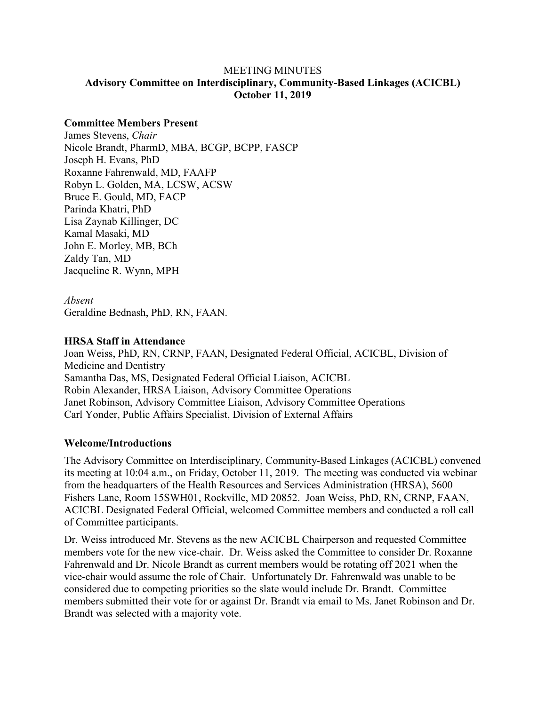## MEETING MINUTES **Advisory Committee on Interdisciplinary, Community-Based Linkages (ACICBL) October 11, 2019**

## **Committee Members Present**

James Stevens, *Chair*  Nicole Brandt, PharmD, MBA, BCGP, BCPP, FASCP Joseph H. Evans, PhD Roxanne Fahrenwald, MD, FAAFP Robyn L. Golden, MA, LCSW, ACSW Bruce E. Gould, MD, FACP Parinda Khatri, PhD Lisa Zaynab Killinger, DC Kamal Masaki, MD John E. Morley, MB, BCh Zaldy Tan, MD Jacqueline R. Wynn, MPH

#### *Absent*

Geraldine Bednash, PhD, RN, FAAN.

#### **HRSA Staff in Attendance**

Joan Weiss, PhD, RN, CRNP, FAAN, Designated Federal Official, ACICBL, Division of Medicine and Dentistry Samantha Das, MS, Designated Federal Official Liaison, ACICBL Robin Alexander, HRSA Liaison, Advisory Committee Operations Janet Robinson, Advisory Committee Liaison, Advisory Committee Operations Carl Yonder, Public Affairs Specialist, Division of External Affairs

## **Welcome/Introductions**

The Advisory Committee on Interdisciplinary, Community-Based Linkages (ACICBL) convened its meeting at 10:04 a.m., on Friday, October 11, 2019. The meeting was conducted via webinar from the headquarters of the Health Resources and Services Administration (HRSA), 5600 Fishers Lane, Room 15SWH01, Rockville, MD 20852. Joan Weiss, PhD, RN, CRNP, FAAN, ACICBL Designated Federal Official, welcomed Committee members and conducted a roll call of Committee participants.

Dr. Weiss introduced Mr. Stevens as the new ACICBL Chairperson and requested Committee members vote for the new vice-chair. Dr. Weiss asked the Committee to consider Dr. Roxanne Fahrenwald and Dr. Nicole Brandt as current members would be rotating off 2021 when the vice-chair would assume the role of Chair. Unfortunately Dr. Fahrenwald was unable to be considered due to competing priorities so the slate would include Dr. Brandt. Committee members submitted their vote for or against Dr. Brandt via email to Ms. Janet Robinson and Dr. Brandt was selected with a majority vote.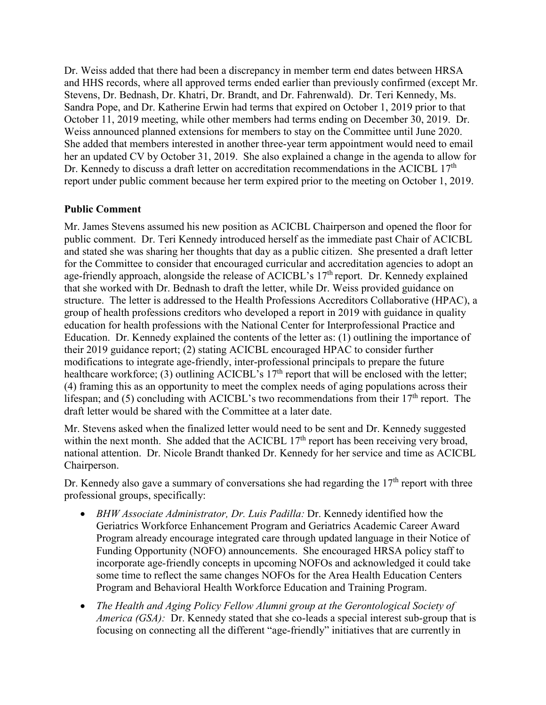Dr. Weiss added that there had been a discrepancy in member term end dates between HRSA and HHS records, where all approved terms ended earlier than previously confirmed (except Mr. Stevens, Dr. Bednash, Dr. Khatri, Dr. Brandt, and Dr. Fahrenwald). Dr. Teri Kennedy, Ms. Sandra Pope, and Dr. Katherine Erwin had terms that expired on October 1, 2019 prior to that October 11, 2019 meeting, while other members had terms ending on December 30, 2019. Dr. Weiss announced planned extensions for members to stay on the Committee until June 2020. She added that members interested in another three-year term appointment would need to email her an updated CV by October 31, 2019. She also explained a change in the agenda to allow for Dr. Kennedy to discuss a draft letter on accreditation recommendations in the ACICBL 17<sup>th</sup> report under public comment because her term expired prior to the meeting on October 1, 2019.

## **Public Comment**

Mr. James Stevens assumed his new position as ACICBL Chairperson and opened the floor for public comment. Dr. Teri Kennedy introduced herself as the immediate past Chair of ACICBL and stated she was sharing her thoughts that day as a public citizen. She presented a draft letter for the Committee to consider that encouraged curricular and accreditation agencies to adopt an age-friendly approach, alongside the release of ACICBL's 17<sup>th</sup> report. Dr. Kennedy explained that she worked with Dr. Bednash to draft the letter, while Dr. Weiss provided guidance on structure. The letter is addressed to the Health Professions Accreditors Collaborative (HPAC), a group of health professions creditors who developed a report in 2019 with guidance in quality education for health professions with the National Center for Interprofessional Practice and Education. Dr. Kennedy explained the contents of the letter as: (1) outlining the importance of their 2019 guidance report; (2) stating ACICBL encouraged HPAC to consider further modifications to integrate age-friendly, inter-professional principals to prepare the future healthcare workforce; (3) outlining ACICBL's  $17<sup>th</sup>$  report that will be enclosed with the letter; (4) framing this as an opportunity to meet the complex needs of aging populations across their lifespan; and (5) concluding with ACICBL's two recommendations from their  $17<sup>th</sup>$  report. The draft letter would be shared with the Committee at a later date.

Mr. Stevens asked when the finalized letter would need to be sent and Dr. Kennedy suggested within the next month. She added that the ACICBL  $17<sup>th</sup>$  report has been receiving very broad, national attention. Dr. Nicole Brandt thanked Dr. Kennedy for her service and time as ACICBL Chairperson.

Dr. Kennedy also gave a summary of conversations she had regarding the  $17<sup>th</sup>$  report with three professional groups, specifically:

- *BHW Associate Administrator, Dr. Luis Padilla:* Dr. Kennedy identified how the Geriatrics Workforce Enhancement Program and Geriatrics Academic Career Award Program already encourage integrated care through updated language in their Notice of Funding Opportunity (NOFO) announcements. She encouraged HRSA policy staff to incorporate age-friendly concepts in upcoming NOFOs and acknowledged it could take some time to reflect the same changes NOFOs for the Area Health Education Centers Program and Behavioral Health Workforce Education and Training Program.
- *The Health and Aging Policy Fellow Alumni group at the Gerontological Society of America (GSA):* Dr. Kennedy stated that she co-leads a special interest sub-group that is focusing on connecting all the different "age-friendly" initiatives that are currently in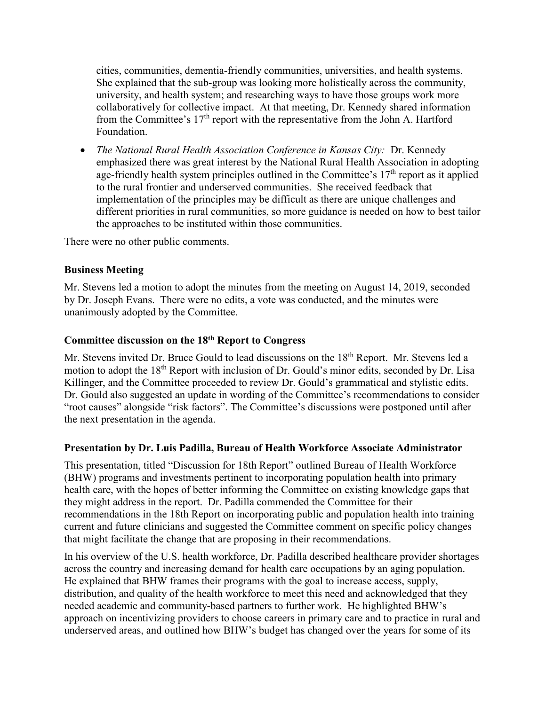cities, communities, dementia-friendly communities, universities, and health systems. She explained that the sub-group was looking more holistically across the community, university, and health system; and researching ways to have those groups work more collaboratively for collective impact. At that meeting, Dr. Kennedy shared information from the Committee's  $17<sup>th</sup>$  report with the representative from the John A. Hartford Foundation.

• *The National Rural Health Association Conference in Kansas City:*Dr. Kennedy emphasized there was great interest by the National Rural Health Association in adopting age-friendly health system principles outlined in the Committee's  $17<sup>th</sup>$  report as it applied to the rural frontier and underserved communities. She received feedback that implementation of the principles may be difficult as there are unique challenges and different priorities in rural communities, so more guidance is needed on how to best tailor the approaches to be instituted within those communities.

There were no other public comments.

# **Business Meeting**

Mr. Stevens led a motion to adopt the minutes from the meeting on August 14, 2019, seconded by Dr. Joseph Evans. There were no edits, a vote was conducted, and the minutes were unanimously adopted by the Committee.

## **Committee discussion on the 18th Report to Congress**

Mr. Stevens invited Dr. Bruce Gould to lead discussions on the 18<sup>th</sup> Report. Mr. Stevens led a motion to adopt the 18<sup>th</sup> Report with inclusion of Dr. Gould's minor edits, seconded by Dr. Lisa Killinger, and the Committee proceeded to review Dr. Gould's grammatical and stylistic edits. Dr. Gould also suggested an update in wording of the Committee's recommendations to consider "root causes" alongside "risk factors". The Committee's discussions were postponed until after the next presentation in the agenda.

## **Presentation by Dr. Luis Padilla, Bureau of Health Workforce Associate Administrator**

This presentation, titled "Discussion for 18th Report" outlined Bureau of Health Workforce (BHW) programs and investments pertinent to incorporating population health into primary health care, with the hopes of better informing the Committee on existing knowledge gaps that they might address in the report. Dr. Padilla commended the Committee for their recommendations in the 18th Report on incorporating public and population health into training current and future clinicians and suggested the Committee comment on specific policy changes that might facilitate the change that are proposing in their recommendations.

In his overview of the U.S. health workforce, Dr. Padilla described healthcare provider shortages across the country and increasing demand for health care occupations by an aging population. He explained that BHW frames their programs with the goal to increase access, supply, distribution, and quality of the health workforce to meet this need and acknowledged that they needed academic and community-based partners to further work. He highlighted BHW's approach on incentivizing providers to choose careers in primary care and to practice in rural and underserved areas, and outlined how BHW's budget has changed over the years for some of its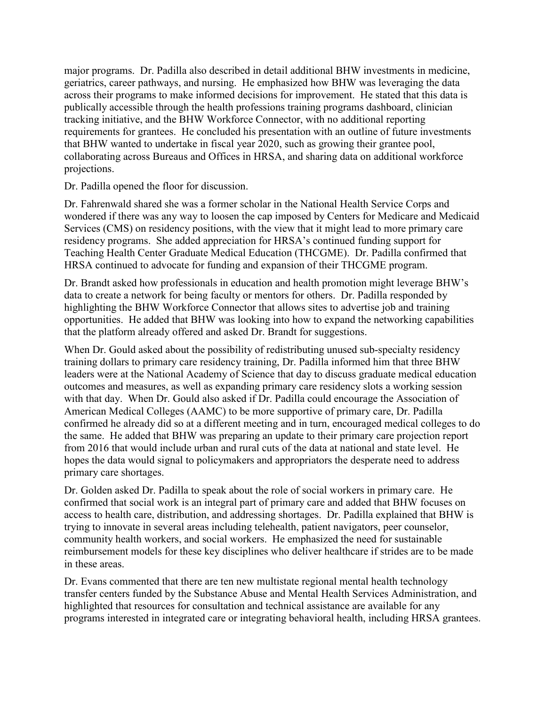major programs. Dr. Padilla also described in detail additional BHW investments in medicine, geriatrics, career pathways, and nursing. He emphasized how BHW was leveraging the data across their programs to make informed decisions for improvement. He stated that this data is publically accessible through the health professions training programs dashboard, clinician tracking initiative, and the BHW Workforce Connector, with no additional reporting requirements for grantees. He concluded his presentation with an outline of future investments that BHW wanted to undertake in fiscal year 2020, such as growing their grantee pool, collaborating across Bureaus and Offices in HRSA, and sharing data on additional workforce projections.

Dr. Padilla opened the floor for discussion.

Dr. Fahrenwald shared she was a former scholar in the National Health Service Corps and wondered if there was any way to loosen the cap imposed by Centers for Medicare and Medicaid Services (CMS) on residency positions, with the view that it might lead to more primary care residency programs. She added appreciation for HRSA's continued funding support for Teaching Health Center Graduate Medical Education (THCGME). Dr. Padilla confirmed that HRSA continued to advocate for funding and expansion of their THCGME program.

Dr. Brandt asked how professionals in education and health promotion might leverage BHW's data to create a network for being faculty or mentors for others. Dr. Padilla responded by highlighting the BHW Workforce Connector that allows sites to advertise job and training opportunities. He added that BHW was looking into how to expand the networking capabilities that the platform already offered and asked Dr. Brandt for suggestions.

When Dr. Gould asked about the possibility of redistributing unused sub-specialty residency training dollars to primary care residency training, Dr. Padilla informed him that three BHW leaders were at the National Academy of Science that day to discuss graduate medical education outcomes and measures, as well as expanding primary care residency slots a working session with that day. When Dr. Gould also asked if Dr. Padilla could encourage the Association of American Medical Colleges (AAMC) to be more supportive of primary care, Dr. Padilla confirmed he already did so at a different meeting and in turn, encouraged medical colleges to do the same. He added that BHW was preparing an update to their primary care projection report from 2016 that would include urban and rural cuts of the data at national and state level. He hopes the data would signal to policymakers and appropriators the desperate need to address primary care shortages.

Dr. Golden asked Dr. Padilla to speak about the role of social workers in primary care. He confirmed that social work is an integral part of primary care and added that BHW focuses on access to health care, distribution, and addressing shortages. Dr. Padilla explained that BHW is trying to innovate in several areas including telehealth, patient navigators, peer counselor, community health workers, and social workers. He emphasized the need for sustainable reimbursement models for these key disciplines who deliver healthcare if strides are to be made in these areas.

Dr. Evans commented that there are ten new multistate regional mental health technology transfer centers funded by the Substance Abuse and Mental Health Services Administration, and highlighted that resources for consultation and technical assistance are available for any programs interested in integrated care or integrating behavioral health, including HRSA grantees.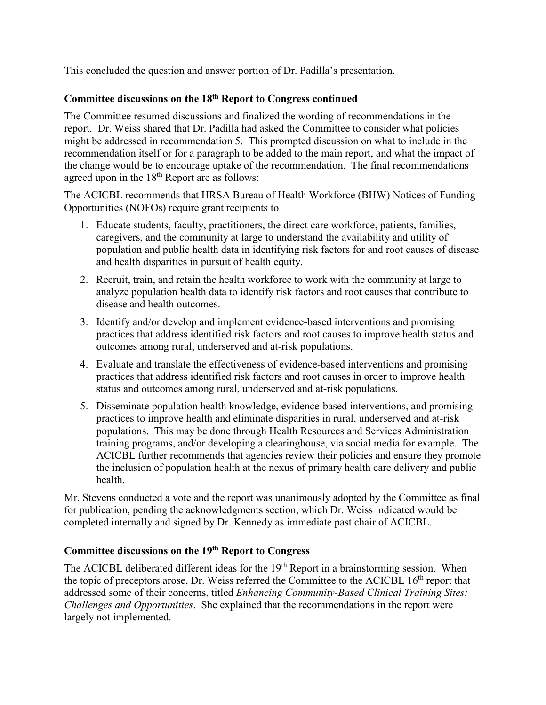This concluded the question and answer portion of Dr. Padilla's presentation.

# **Committee discussions on the 18th Report to Congress continued**

The Committee resumed discussions and finalized the wording of recommendations in the report. Dr. Weiss shared that Dr. Padilla had asked the Committee to consider what policies might be addressed in recommendation 5. This prompted discussion on what to include in the recommendation itself or for a paragraph to be added to the main report, and what the impact of the change would be to encourage uptake of the recommendation. The final recommendations agreed upon in the  $18<sup>th</sup>$  Report are as follows:

The ACICBL recommends that HRSA Bureau of Health Workforce (BHW) Notices of Funding Opportunities (NOFOs) require grant recipients to

- 1. Educate students, faculty, practitioners, the direct care workforce, patients, families, caregivers, and the community at large to understand the availability and utility of population and public health data in identifying risk factors for and root causes of disease and health disparities in pursuit of health equity.
- 2. Recruit, train, and retain the health workforce to work with the community at large to analyze population health data to identify risk factors and root causes that contribute to disease and health outcomes.
- 3. Identify and/or develop and implement evidence-based interventions and promising practices that address identified risk factors and root causes to improve health status and outcomes among rural, underserved and at-risk populations.
- 4. Evaluate and translate the effectiveness of evidence-based interventions and promising practices that address identified risk factors and root causes in order to improve health status and outcomes among rural, underserved and at-risk populations.
- 5. Disseminate population health knowledge, evidence-based interventions, and promising practices to improve health and eliminate disparities in rural, underserved and at-risk populations. This may be done through Health Resources and Services Administration training programs, and/or developing a clearinghouse, via social media for example. The ACICBL further recommends that agencies review their policies and ensure they promote the inclusion of population health at the nexus of primary health care delivery and public health.

Mr. Stevens conducted a vote and the report was unanimously adopted by the Committee as final for publication, pending the acknowledgments section, which Dr. Weiss indicated would be completed internally and signed by Dr. Kennedy as immediate past chair of ACICBL.

# **Committee discussions on the 19th Report to Congress**

The ACICBL deliberated different ideas for the  $19<sup>th</sup>$  Report in a brainstorming session. When the topic of preceptors arose, Dr. Weiss referred the Committee to the ACICBL  $16<sup>th</sup>$  report that addressed some of their concerns, titled *Enhancing Community-Based Clinical Training Sites: Challenges and Opportunities*. She explained that the recommendations in the report were largely not implemented.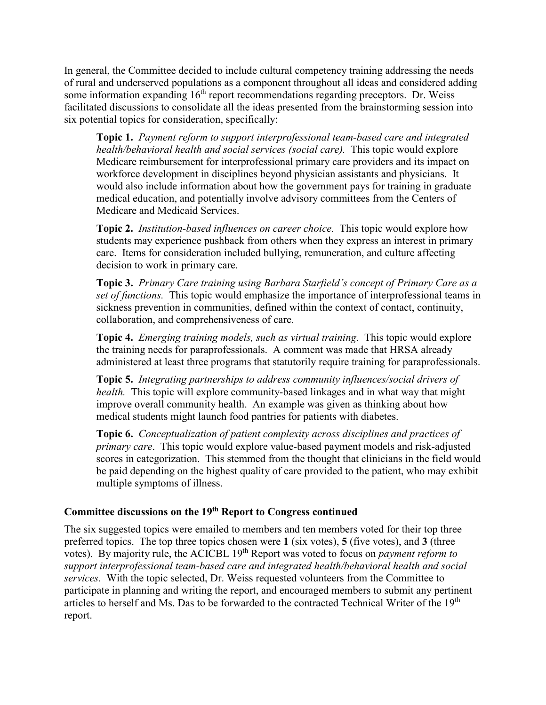In general, the Committee decided to include cultural competency training addressing the needs of rural and underserved populations as a component throughout all ideas and considered adding some information expanding  $16<sup>th</sup>$  report recommendations regarding preceptors. Dr. Weiss facilitated discussions to consolidate all the ideas presented from the brainstorming session into six potential topics for consideration, specifically:

**Topic 1.** *Payment reform to support interprofessional team-based care and integrated health/behavioral health and social services (social care).* This topic would explore Medicare reimbursement for interprofessional primary care providers and its impact on workforce development in disciplines beyond physician assistants and physicians. It would also include information about how the government pays for training in graduate medical education, and potentially involve advisory committees from the Centers of Medicare and Medicaid Services.

**Topic 2.** *Institution-based influences on career choice.* This topic would explore how students may experience pushback from others when they express an interest in primary care. Items for consideration included bullying, remuneration, and culture affecting decision to work in primary care.

**Topic 3.** *Primary Care training using Barbara Starfield's concept of Primary Care as a set of functions.* This topic would emphasize the importance of interprofessional teams in sickness prevention in communities, defined within the context of contact, continuity, collaboration, and comprehensiveness of care.

**Topic 4.** *Emerging training models, such as virtual training*. This topic would explore the training needs for paraprofessionals. A comment was made that HRSA already administered at least three programs that statutorily require training for paraprofessionals.

**Topic 5.** *Integrating partnerships to address community influences/social drivers of health.* This topic will explore community-based linkages and in what way that might improve overall community health. An example was given as thinking about how medical students might launch food pantries for patients with diabetes.

**Topic 6.** *Conceptualization of patient complexity across disciplines and practices of primary care*. This topic would explore value-based payment models and risk-adjusted scores in categorization. This stemmed from the thought that clinicians in the field would be paid depending on the highest quality of care provided to the patient, who may exhibit multiple symptoms of illness.

# **Committee discussions on the 19th Report to Congress continued**

The six suggested topics were emailed to members and ten members voted for their top three preferred topics. The top three topics chosen were **1** (six votes), **5** (five votes), and **3** (three votes). By majority rule, the ACICBL 19th Report was voted to focus on *payment reform to support interprofessional team-based care and integrated health/behavioral health and social services.* With the topic selected, Dr. Weiss requested volunteers from the Committee to participate in planning and writing the report, and encouraged members to submit any pertinent articles to herself and Ms. Das to be forwarded to the contracted Technical Writer of the 19<sup>th</sup> report.